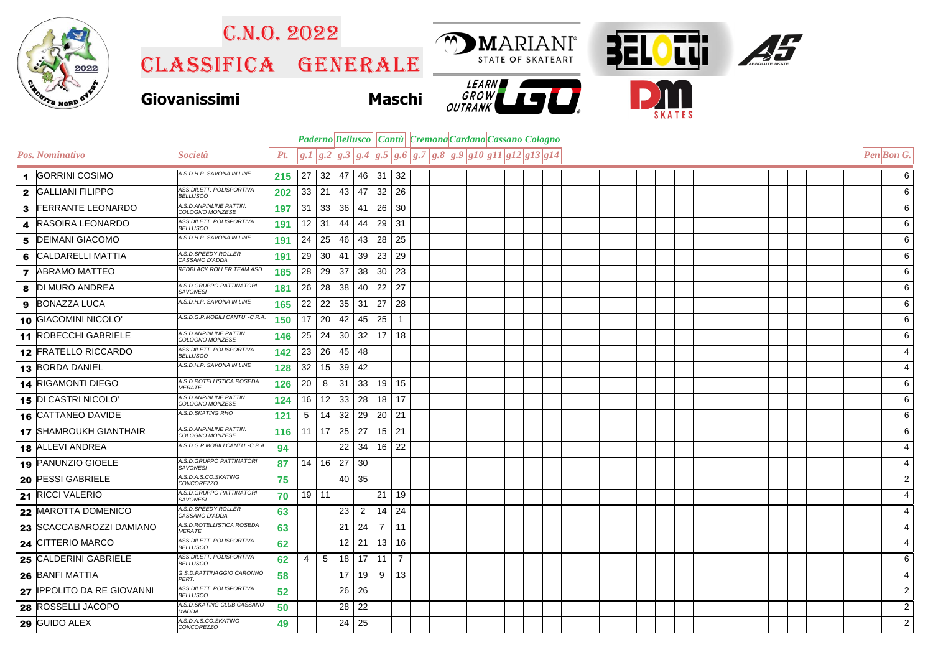